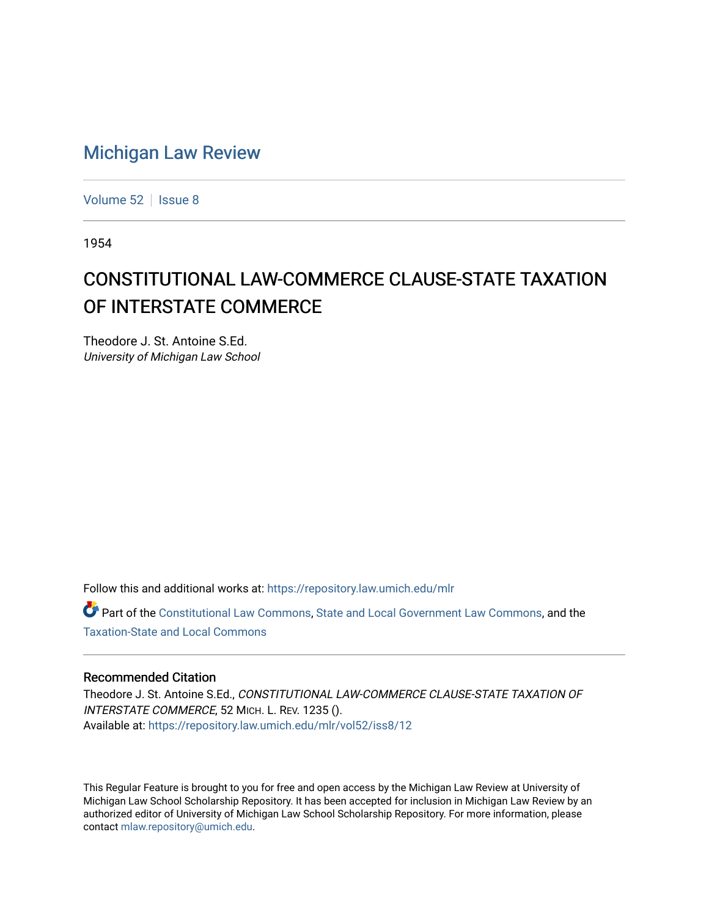## [Michigan Law Review](https://repository.law.umich.edu/mlr)

[Volume 52](https://repository.law.umich.edu/mlr/vol52) | [Issue 8](https://repository.law.umich.edu/mlr/vol52/iss8)

1954

## CONSTITUTIONAL LAW-COMMERCE CLAUSE-STATE TAXATION OF INTERSTATE COMMERCE

Theodore J. St. Antoine S.Ed. University of Michigan Law School

Follow this and additional works at: [https://repository.law.umich.edu/mlr](https://repository.law.umich.edu/mlr?utm_source=repository.law.umich.edu%2Fmlr%2Fvol52%2Fiss8%2F12&utm_medium=PDF&utm_campaign=PDFCoverPages) 

Part of the [Constitutional Law Commons,](http://network.bepress.com/hgg/discipline/589?utm_source=repository.law.umich.edu%2Fmlr%2Fvol52%2Fiss8%2F12&utm_medium=PDF&utm_campaign=PDFCoverPages) [State and Local Government Law Commons](http://network.bepress.com/hgg/discipline/879?utm_source=repository.law.umich.edu%2Fmlr%2Fvol52%2Fiss8%2F12&utm_medium=PDF&utm_campaign=PDFCoverPages), and the [Taxation-State and Local Commons](http://network.bepress.com/hgg/discipline/882?utm_source=repository.law.umich.edu%2Fmlr%2Fvol52%2Fiss8%2F12&utm_medium=PDF&utm_campaign=PDFCoverPages)

## Recommended Citation

Theodore J. St. Antoine S.Ed., CONSTITUTIONAL LAW-COMMERCE CLAUSE-STATE TAXATION OF INTERSTATE COMMERCE, 52 MICH. L. REV. 1235 (). Available at: [https://repository.law.umich.edu/mlr/vol52/iss8/12](https://repository.law.umich.edu/mlr/vol52/iss8/12?utm_source=repository.law.umich.edu%2Fmlr%2Fvol52%2Fiss8%2F12&utm_medium=PDF&utm_campaign=PDFCoverPages) 

This Regular Feature is brought to you for free and open access by the Michigan Law Review at University of Michigan Law School Scholarship Repository. It has been accepted for inclusion in Michigan Law Review by an authorized editor of University of Michigan Law School Scholarship Repository. For more information, please contact [mlaw.repository@umich.edu](mailto:mlaw.repository@umich.edu).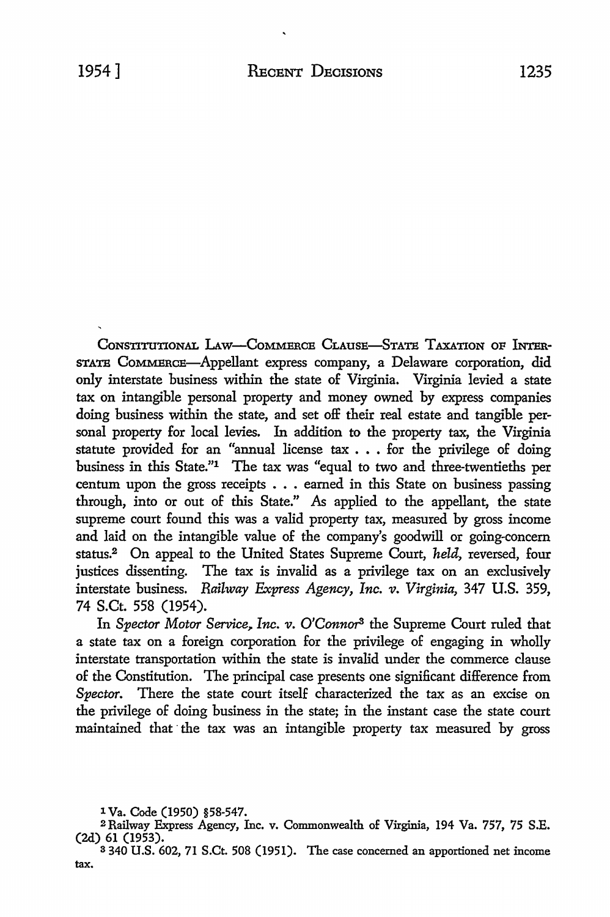CONSTITUTIONAL LAW-COMMERCE CLAUSE-STATE TAXATION OF INTER-STATE CoMMBRCB-Appellant express company, a Delaware corporation, did only interstate business within the state of Virginia. Virginia levied a state tax on intangible personal property and money owned by express companies doing business within the state, and set off their real estate and tangible personal property for local levies. In addition to the property tax, the Virginia statute provided for an "annual license tax . . . for the privilege of doing business in this State."1 The tax was "equal to two and three-twentieths per centum upon the gross receipts . • . earned in this State on business passing through, into or out of this State." As applied to the appellant, the state supreme court found this was a valid property tax, measured by gross income and laid on the intangible value of the company's goodwill or going-concern status.2 On appeal to the United States Supreme Court, *held,* reversed, four justices dissenting. The tax is invalid as a privilege tax on an exclusively interstate business. *Railway Express Agency, Inc. v. Virginia,* 347 **U.S.** 359, 74 S.Ct. 558 (1954).

In Spector Motor Service, Inc. v. O'Connor<sup>3</sup> the Supreme Court ruled that a state tax on a foreign corporation for the privilege of engaging in wholly interstate transportation within the state is invalid under the commerce clause of the Constitution. The principal case presents one significant difference from Spector. There the state court itself characterized the tax as an excise on the privilege of doing business in the state; in the instant case the state court maintained that the tax was an intangible property tax measured by gross

<sup>1</sup> Va. Code (1950) §58-547.

<sup>2</sup>Railway Express Agency, Inc. v. Commonwealth of Virginia, 194 Va. 757, 75 S.E. (2d) 61 (1953).

<sup>3</sup>340 U.S. 602, 71 S.Ct. 508 (1951). The case concerned an apportioned net income tax.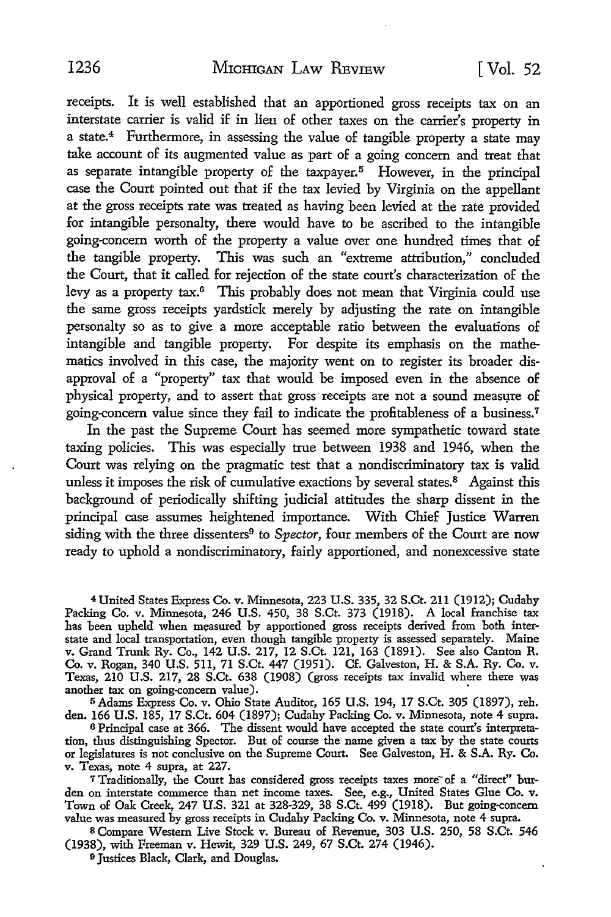receipts. It is well established that an apportioned gross receipts tax on an interstate carrier is valid if in lieu of other taxes on the carrier's property in a state.<sup>4</sup> Furthermore, in assessing the value of tangible property a state may take account of its augmented value as part of a going concern and treat that as separate intangible property of the taxpayer.<sup>5</sup> However, in the principal case the Court pointed out that if the tax levied by Virginia on the appellant at the gross receipts rate was treated as having been levied at the rate provided for intangible personalty, there would have to be ascribed to the intangible going-concern worth of the property a value over one hundred times that of the tangible property. This was such an "extreme attribution," concluded the Court, that it called for rejection of the state court's characterization of the levy as a property tax.6 This probably does not mean that Virginia could use the same gross receipts yardstick merely by adjusting the rate on intangible personalty so as to give a more acceptable ratio between the evaluations of intangible and tangible property. For despite its emphasis on the mathematics involved in this case, the majority went on to register its broader disapproval of a "property" tax that would be imposed even in the absence of physical property, and to assert that gross receipts are not a sound measure of going-concern value since they fail to indicate the profitableness of a business.<sup>7</sup>

In the past the Supreme Court has seemed more sympathetic toward state taxing policies. This was especially true between 1938 and 1946, when the Court was relying on the pragmatic test that a nondiscriminatory tax is valid unless it imposes the risk of cumulative exactions by several states.<sup>8</sup> Against this background of periodically shifting judicial attitudes the sharp dissent in the principal case assumes heightened importance. With Chief Justice Warren siding with the three dissenters<sup>9</sup> to *Spector*, four members of the Court are now ready to uphold a nondiscriminatory, fairly apportioned, and nonexcessive state

<sup>4</sup>United States Express Co. v. Minnesota, 223 U.S. 335, 32 S.Ct. 211 (1912); Cudahy Packing Co. v. Minnesota, 246 U.S. 450, 38 S.Ct. 373 (1918). A local franchise tax has been upheld when measured by apportioned gross receipts derived from both interstate and local transportation, even though tangible property is assessed separately. Maine v. Grand Trunk Ry. Co., 142 U.S. 217, 12 S.Ct. 121, 163 (1891). See also Canton R. Co. v. Rogan, 340 U.S. 511, 71 S.Ct. 447 (1951). Cf. Galveston, H. & S.A. Ry. Co. v. Texas, 210 U.S. 217, 28 S.Ct. 638 (1908) (gross receipts tax invalid where there was another tax on going-concern value).

<sup>5</sup>Adams Express Co. v. Ohio State Auditor, 165 U.S. 194, 17 S.Ct. 305 (1897), reh. den. 166 U.S. 185, 17 S.Ct. 604 (1897); Cudahy Packing Co. v. Minnesota, note 4 supra.

6 Principal case at 366. The dissent would have accepted the state court's interpretation, thus distinguishing Spector. But of course the name given a tax by the state courts or legislatures is not conclusive on the Supreme Court. See Galveston, H. & S.A. Ry. Co. v. Texas, note 4 supra, at 227.

7 Traditionally, the Court has considered gross receipts taxes more of a "direct" burden on interstate commerce than net income taxes. See, e.g., United States Glue **Co. v.**  Town of Oak Creek, 247 U.S. 321 at 328-329, 38 S.Ct. 499 (1918). But going-concern value was measured by gross receipts in Cudahy Packing Co. v. Minnesota, note 4 supra.

s Compare Western Live Stock v. Bureau of Revenue, 303 U.S. 250, 58 S.Ct. 546 (1938), with Freeman v. Hewit, 329 U.S. 249, 67 S.Ct. 274 (1946).

9 Justices Black, Clark, and Douglas.